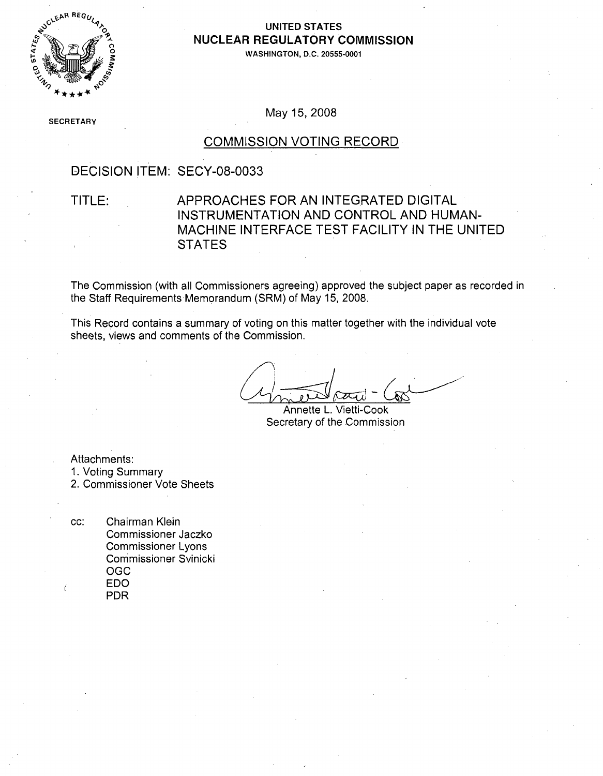

### **UNITED STATES NUCLEAR** REGULATORY **COMMISSION**

**WASHINGTON, D.C. 20555-0001**

**SECRETARY** 

May 15, 2008

#### COMMISSION VOTING RECORD

### DECISION ITEM: SECY-08-0033

### TITLE: APPROACHES FOR AN INTEGRATED DIGITAL INSTRUMENTATION AND CONTROL AND HUMAN-MACHINE INTERFACE TEST FACILITY IN THE UNITED **STATES**

The Commission (with all Commissioners agreeing) approved the subject paper as recorded in the Staff Requirements Memorandum (SRM) of May 15, 2008.

This Record contains a summary of voting on this matter together with the individual vote sheets, views and comments of the Commission.

Annette L. Vietti-Cook Secretary of the Commission

Attachments:

1. Voting Summary

2. Commissioner Vote Sheets

cc: Chairman Klein Commissioner Jaczko Commissioner Lyons Commissioner Svinicki **OGC EDO** PDR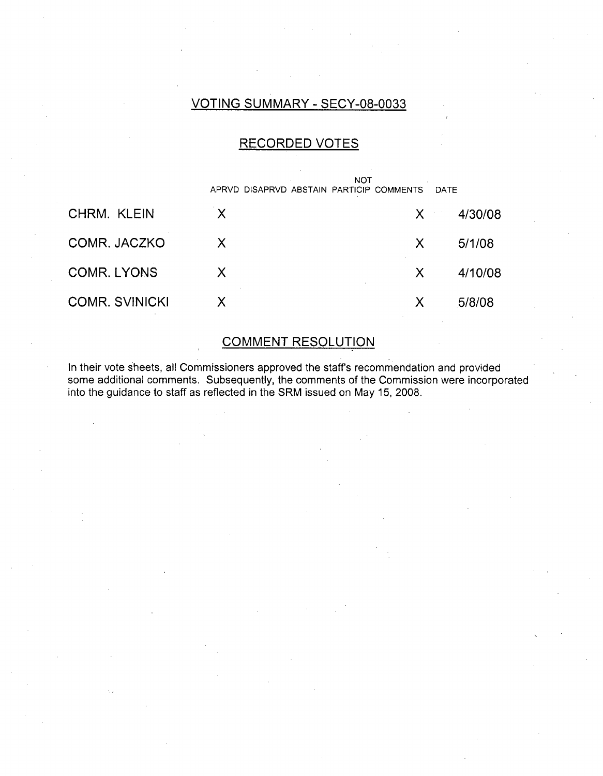### VOTING SUMMARY - SECY-08-0033

### RECORDED VOTES

|                       | <b>NOT</b><br>APRVD DISAPRVD ABSTAIN PARTICIP COMMENTS |                        | DATE |         |
|-----------------------|--------------------------------------------------------|------------------------|------|---------|
| CHRM. KLEIN           | X                                                      | $X \subset \mathbb{R}$ |      | 4/30/08 |
| COMR. JACZKO          | X                                                      | X                      |      | 5/1/08  |
| <b>COMR. LYONS</b>    | $\sf X$                                                | X                      |      | 4/10/08 |
| <b>COMR. SVINICKI</b> | X                                                      | Х                      |      | 5/8/08  |

### COMMENT RESOLUTION

In their vote sheets, all Commissioners approved the staffs recommendation and provided some additional comments. Subsequently, the comments of the Commission were incorporated into the guidance to staff as reflected in the SRM issued on May 15, 2008.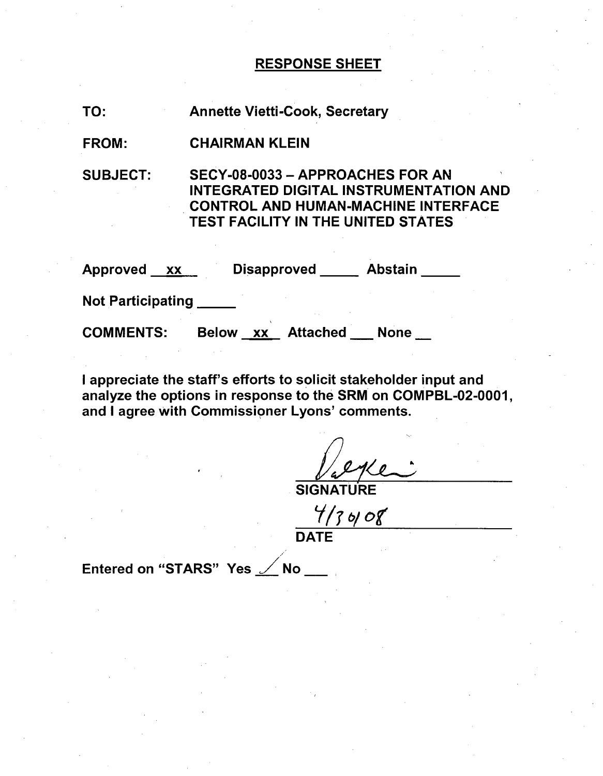### RESPONSE SHEET

| TO: | <b>Annette Vietti-Cook, Secretary</b> |  |
|-----|---------------------------------------|--|
|-----|---------------------------------------|--|

### FROM: CHAIRMAN KLEIN

SUBJECT: SECY-08-0033 - APPROACHES FOR AN INTEGRATED DIGITAL INSTRUMENTATION AND CONTROL AND HUMAN-MACHINE INTERFACE TEST FACILITY IN THE UNITED STATES

| Approved<br>XX           | <b>Disapproved</b>                    | <b>Abstain</b> |
|--------------------------|---------------------------------------|----------------|
| <b>Not Participating</b> |                                       |                |
| <b>COMMENTS:</b>         | <b>Attached</b><br><b>Below</b><br>XX | <b>None</b>    |

I appreciate the staff's efforts to solicit stakeholder input and analyze the options in response to the SRM on COMPBL-02-0001, and I agree with Commissioner Lyons' comments.

**SIGNATURE** 

 $\frac{4}{5}$  of  $\frac{6}{5}$ 

Entered on "STARS" Yes  $\angle$  No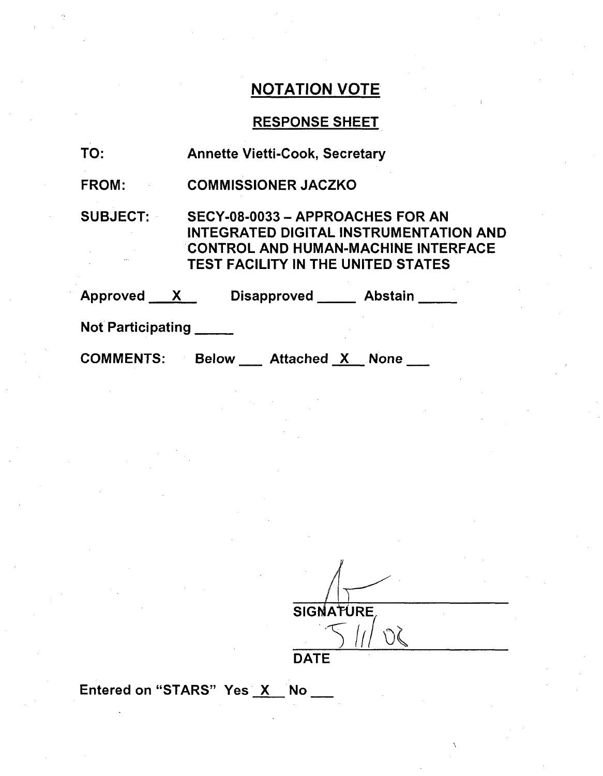# NOTATION VOTE

# RESPONSE SHEET

| TO:               | <b>Annette Vietti-Cook, Secretary</b>                                                                                                                                 |
|-------------------|-----------------------------------------------------------------------------------------------------------------------------------------------------------------------|
| FROM:             | <b>COMMISSIONER JACZKO</b>                                                                                                                                            |
| <b>SUBJECT:</b>   | SECY-08-0033 - APPROACHES FOR AN<br>INTEGRATED DIGITAL INSTRUMENTATION AND<br><b>CONTROL AND HUMAN-MACHINE INTERFACE</b><br><b>TEST FACILITY IN THE UNITED STATES</b> |
| Approved <u>X</u> | Disapproved <b>Abstain</b>                                                                                                                                            |
| Not Participating |                                                                                                                                                                       |
| <b>COMMENTS:</b>  | Below ___ Attached X __ None ___                                                                                                                                      |

SIGNATURE  $\mathcal{S}(\mathcal{C})$ DATE

Entered on "STARS" Yes X No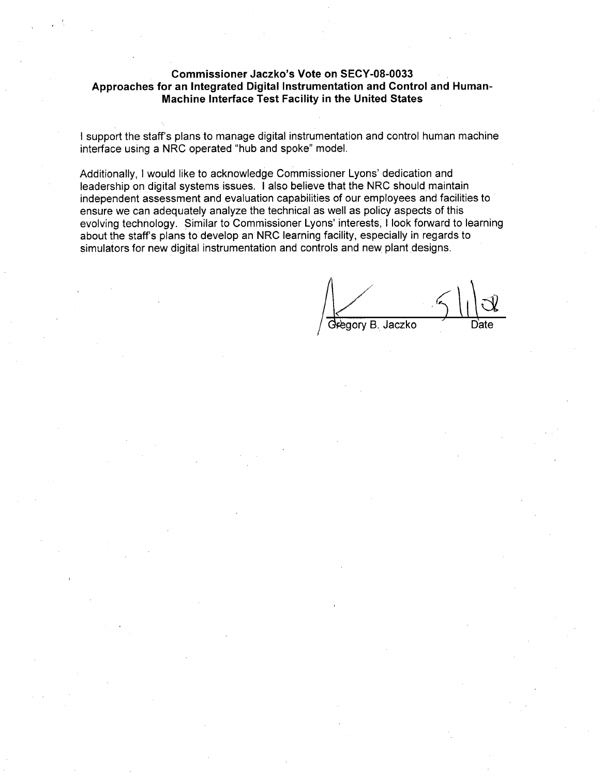#### Commissioner Jaczko's Vote on **SECY-08-0033** Approaches for an Integrated Digital Instrumentation and Control and Human-Machine Interface Test Facility in the United States

I support the staff's plans to manage digital instrumentation and control human machine interface using a NRC operated "hub and spoke" model.

Additionally, I would like to acknowledge Commissioner Lyons' dedication and leadership on digital systems issues. I also believe that the NRC should maintain independent assessment and evaluation capabilities of our employees and facilities to ensure we can adequately analyze the technical as well as policy aspects of this evolving technology. Similar to Commissioner Lyons' interests, I look forward to learning about the staff's plans to develop an NRC learning facility, especially in regards to simulators for new digital instrumentation and controls and new plant designs.

Regory B. Jaczko Date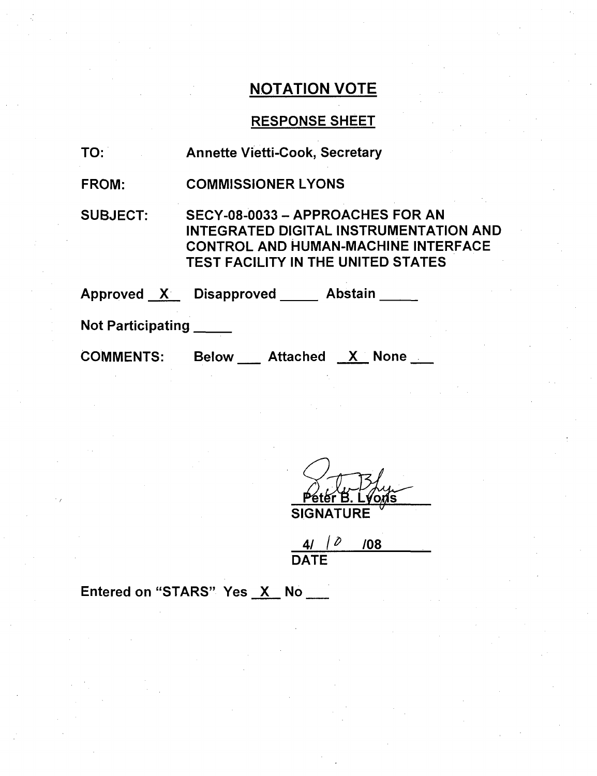# NOTATION VOTE

# RESPONSE SHEET

| TO:               | <b>Annette Vietti-Cook, Secretary</b>                                                                                                                                 |
|-------------------|-----------------------------------------------------------------------------------------------------------------------------------------------------------------------|
| <b>FROM:</b>      | <b>COMMISSIONER LYONS</b>                                                                                                                                             |
| <b>SUBJECT:</b>   | SECY-08-0033 - APPROACHES FOR AN<br>INTEGRATED DIGITAL INSTRUMENTATION AND<br><b>CONTROL AND HUMAN-MACHINE INTERFACE</b><br><b>TEST FACILITY IN THE UNITED STATES</b> |
|                   | Approved X Disapproved Abstain                                                                                                                                        |
| Not Participating |                                                                                                                                                                       |
| <b>COMMENTS:</b>  | Below Attached X None                                                                                                                                                 |

VOMS SIGNATURE **'**

4/ */* **/08** DATE

Entered on "STARS" Yes X No \_\_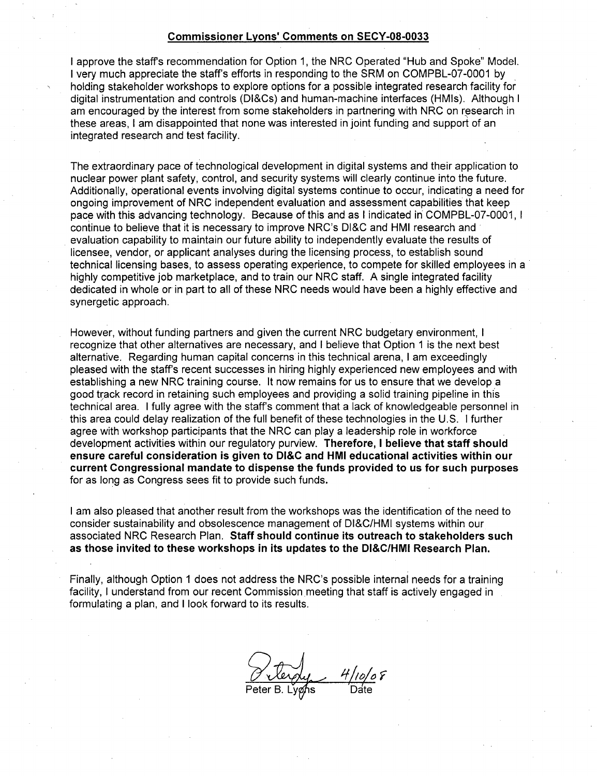#### Commissioner Lyons' Comments on **SECY-08-0033**

I approve the staffs recommendation for Option 1, the NRC Operated "Hub and Spoke" Model. I very much appreciate the staff's efforts in responding to the SRM on COMPBL-07-0001 by holding stakeholder workshops to explore options for a possible integrated research facility for digital instrumentation and controls (DI&Cs) and human-machine interfaces (HMIs). Although I am encouraged by the interest from some stakeholders in partnering with NRC on research in these areas, I am disappointed that none was interested in joint funding and support of an integrated research and test facility.

The extraordinary pace of technological development in digital systems and their application to nuclear power plant safety, control, and security systems will clearly continue into the future. Additionally, operational events involving digital systems continue to occur, indicating a need for ongoing improvement of NRC independent evaluation and assessment capabilities that keep pace with this advancing technology. Because of this and as I indicated in COMPBL-07-0001, **I** continue to believe that it is necessary to improve NRC's DI&C and HMI research and evaluation capability to maintain our future ability to independently evaluate the results of licensee, vendor, or applicant analyses during the licensing process, to establish sound technical licensing bases, to assess operating experience, to compete for skilled employees in a highly competitive job marketplace, and to train our NRC staff. A single integrated facility dedicated in whole or in part to all of these NRC needs would have been a highly effective and synergetic approach.

However, without funding partners and given the current NRC budgetary environment, I recognize that other alternatives are necessary, and I believe that Option 1 is the next best alternative. Regarding human capital concerns in this technical arena, I am exceedingly pleased with the staff's recent successes in hiring highly experienced new employees and with establishing a new NRC training course. It now remains for us to ensure that we develop a good track record in retaining such employees and providing a solid training pipeline in this technical area. I fully agree with the staff's comment that a lack of knowledgeable personnel in this area could delay realization of the full benefit of these technologies in the U.S. I further agree with workshop participants that the NRC can play a leadership role in workforce development activities within our regulatory purview. Therefore, **I** believe that staff should ensure careful consideration is given to **DI&C** and **HMI** educational activities within our current Congressional mandate to dispense the funds provided to us for such purposes for as long as Congress sees fit to provide such funds.

I am also pleased that another result from the workshops was the identification of the need to consider sustainability and obsolescence management of DI&C/HMI systems within our associated NRC Research Plan. Staff should continue its outreach to stakeholders such as those invited to these workshops in its updates to the DI&CIHMI Research Plan.

Finally, although Option 1 does not address the NRC's possible internal needs for a training facility, I understand from our recent Commission meeting that staff is actively engaged in formulating a plan, and I look forward to its results.

 $4/10/08$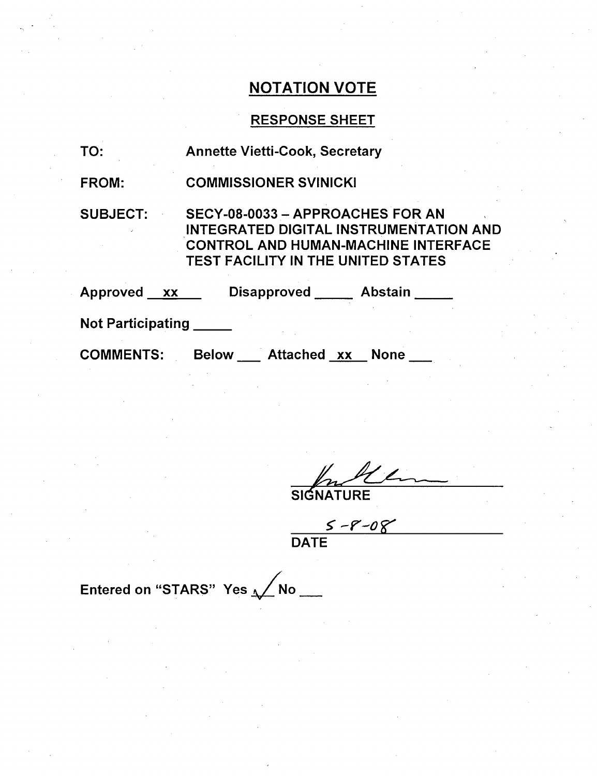### NOTATION VOTE

### RESPONSE SHEET

- TO: Annette Vietti-Cook, Secretary
- FROM: COMMISSIONER SVINICKI

SUBJECT: SECY-08-0033 - APPROACHES FOR AN INTEGRATED DIGITAL INSTRUMENTATION AND CONTROL AND HUMAN-MACHINE INTERFACE TEST FACILITY IN THE UNITED STATES

| Approved xx | <b>Disapproved</b> | <b>Abstain</b> |
|-------------|--------------------|----------------|
|-------------|--------------------|----------------|

Not Participating **\_**

COMMENTS: Below Attached xx None

SIGNATURE

 $\frac{S - P - O}{\text{DATE}}$ 

Entered on "STARS" Yes  $\sqrt{N}$